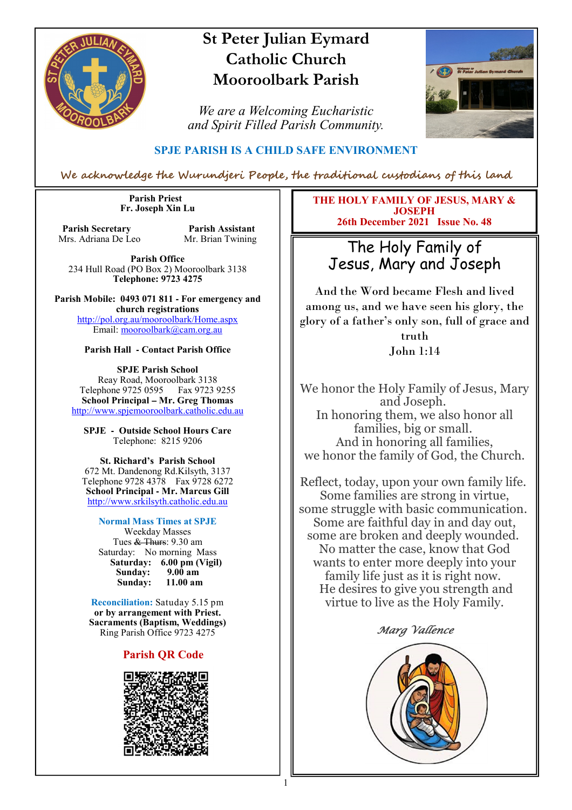

# **St Peter Julian Eymard Catholic Church Mooroolbark Parish**

*We are a Welcoming Eucharistic and Spirit Filled Parish Community.*



### **SPJE PARISH IS A CHILD SAFE ENVIRONMENT**

We acknowledge the Wurundjeri People, the traditional custodians of this land

 **Parish Priest Fr. Joseph Xin Lu** 

**Parish Secretary Parish Assistant**<br>Mrs. Adriana De Leo Mr. Brian Twining Mrs. Adriana De Leo

**Parish Office** 234 Hull Road (PO Box 2) Mooroolbark 3138 **Telephone: 9723 4275** 

**Parish Mobile: 0493 071 811 - For emergency and church registrations** http://pol.org.au/mooroolbark/Home.aspx Email: mooroolbark@cam.org.au

#### **Parish Hall - Contact Parish Office**

**SPJE Parish School** Reay Road, Mooroolbark 3138 Telephone 9725 0595 Fax 9723 9255 **School Principal – Mr. Greg Thomas** http://www.spjemooroolbark.catholic.edu.au

**SPJE - Outside School Hours Care** Telephone: 8215 9206

#### **St. Richard's Parish School**

672 Mt. Dandenong Rd.Kilsyth, 3137 Telephone 9728 4378 Fax 9728 6272 **School Principal - Mr. Marcus Gill** http://www.srkilsyth.catholic.edu.au

#### **Normal Mass Times at SPJE**

Weekday Masses Tues & Thurs: 9.30 am Saturday: No morning Mass  **Saturday: 6.00 pm (Vigil) Sunday: 9.00 am** Sunday:

**Reconciliation:** Satuday 5.15 pm **or by arrangement with Priest. Sacraments (Baptism, Weddings)**  Ring Parish Office 9723 4275

#### **Parish QR Code**



**THE HOLY FAMILY OF JESUS, MARY & JOSEPH 26th December 2021 Issue No. 48**

# The Holy Family of Jesus, Mary and Joseph

And the Word became Flesh and lived among us, and we have seen his glory, the glory of a father's only son, full of grace and

> truth John 1:14

We honor the Holy Family of Jesus, Mary and Joseph. In honoring them, we also honor all families, big or small. And in honoring all families, we honor the family of God, the Church.

Reflect, today, upon your own family life. Some families are strong in virtue, some struggle with basic communication. Some are faithful day in and day out, some are broken and deeply wounded. No matter the case, know that God wants to enter more deeply into your family life just as it is right now. He desires to give you strength and virtue to live as the Holy Family.

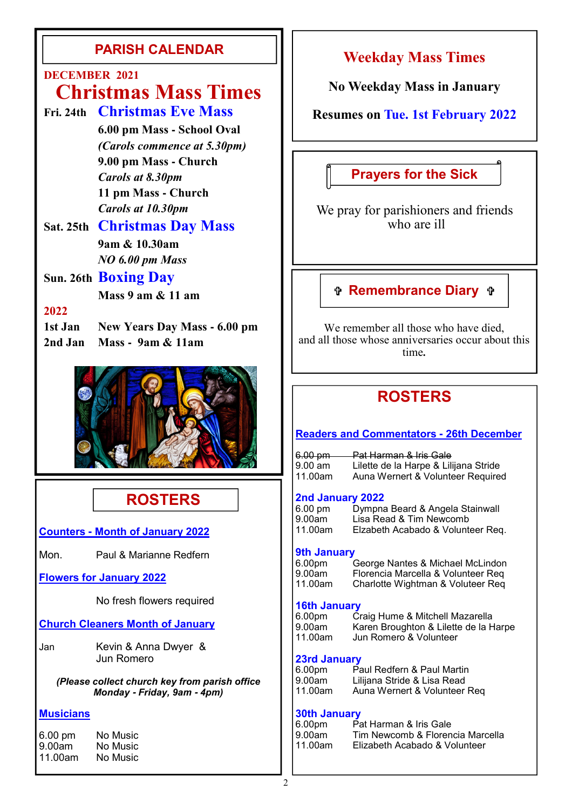# **PARISH CALENDAR**

# **DECEMBER 2021**

# **Christmas Mass Times**

- **Fri. 24th Christmas Eve Mass**
	- **6.00 pm Mass - School Oval** *(Carols commence at 5.30pm)*  **9.00 pm Mass - Church** *Carols at 8.30pm*  **11 pm Mass - Church** *Carols at 10.30pm*

## **Sat. 25th Christmas Day Mass 9am & 10.30am** *NO 6.00 pm Mass*

## **Sun. 26th Boxing Day**

 **Mass 9 am & 11 am** 

## **2022**

**1st Jan New Years Day Mass - 6.00 pm 2nd Jan Mass - 9am & 11am**



# **ROSTERS**

**Counters - Month of January 2022**

Mon. Paul & Marianne Redfern

### **Flowers for January 2022**

No fresh flowers required

### **Church Cleaners Month of January**

Jan Kevin & Anna Dwyer & Jun Romero

*(Please collect church key from parish office Monday* **-** *Friday, 9am* **-** *4pm)*

### **Musicians**

| 6.00 pm | No Music |
|---------|----------|
| 9.00am  | No Music |
| 11.00am | No Music |

# **Weekday Mass Times**

**No Weekday Mass in January**

## **Resumes on Tue. 1st February 2022**

# **Prayers for the Sick**

We pray for parishioners and friends who are ill

# **Remembrance Diary**

We remember all those who have died. and all those whose anniversaries occur about this time**.**

# **ROSTERS**

### **Readers and Commentators - 26th December**

6.00 pm Pat Harman & Iris Gale<br>9.00 am Lilette de la Harpe & Lili 9.00 am Lilette de la Harpe & Lilijana Stride<br>11.00am Auna Wernert & Volunteer Required Auna Wernert & Volunteer Required

### **2nd January 2022**

| ----- --------- - ----<br>6.00 pm | Dympna Beard & Angela Stainwall   |
|-----------------------------------|-----------------------------------|
| 9.00am                            | Lisa Read & Tim Newcomb           |
| 11.00am                           | Elzabeth Acabado & Volunteer Req. |

### **9th January**

| 6.00pm  | George Nantes & Michael McLindon   |
|---------|------------------------------------|
| 9.00am  | Florencia Marcella & Volunteer Req |
| 11.00am | Charlotte Wightman & Voluteer Req  |

### **16th January**

| 3.00pm  |  |
|---------|--|
| 9.00am  |  |
| 11.00am |  |

| 6.00pm  | Craig Hume & Mitchell Mazarella       |
|---------|---------------------------------------|
|         |                                       |
| 9.00am  | Karen Broughton & Lilette de la Harpe |
| 11.00am | Jun Romero & Volunteer                |

### **23rd January**

| 6.00pm  | Paul Redfern & Paul Martin   |
|---------|------------------------------|
| 9.00am  | Lilijana Stride & Lisa Read  |
| 11.00am | Auna Wernert & Volunteer Req |

### **30th January**

| 6.00pm  | Pat Harman & Iris Gale           |
|---------|----------------------------------|
| 9.00am  | Tim Newcomb & Florencia Marcella |
| 11.00am | Elizabeth Acabado & Volunteer    |